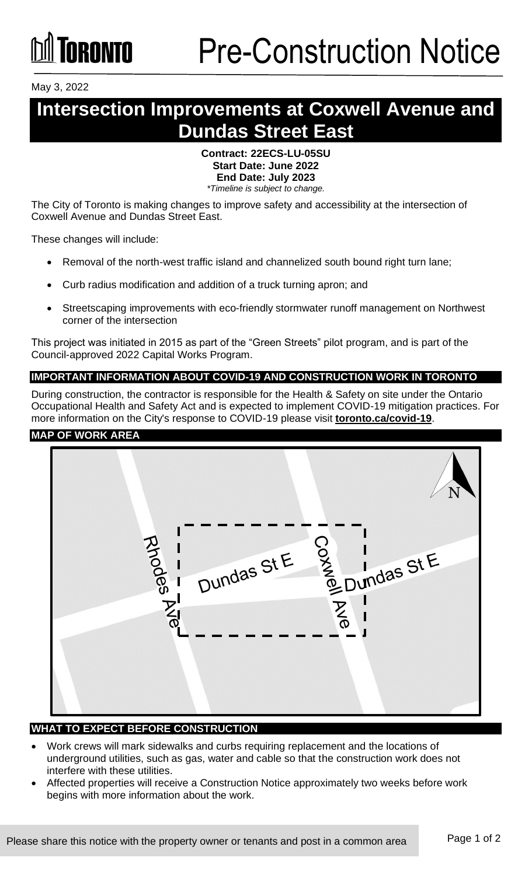May 3, 2022

# **Intersection Improvements at Coxwell Avenue and Dundas Street East**

#### **Contract: 22ECS-LU-05SU Start Date: June 2022 End Date: July 2023** *\*Timeline is subject to change.*

The City of Toronto is making changes to improve safety and accessibility at the intersection of Coxwell Avenue and Dundas Street East.

These changes will include:

- Removal of the north-west traffic island and channelized south bound right turn lane;
- Curb radius modification and addition of a truck turning apron; and
- Streetscaping improvements with eco-friendly stormwater runoff management on Northwest corner of the intersection

This project was initiated in 2015 as part of the "Green Streets" pilot program, and is part of the Council-approved 2022 Capital Works Program.

## **IMPORTANT INFORMATION ABOUT COVID-19 AND CONSTRUCTION WORK IN TORONTO**

During construction, the contractor is responsible for the Health & Safety on site under the Ontario Occupational Health and Safety Act and is expected to implement COVID-19 mitigation practices. For more information on the City's response to COVID-19 please visit **[toronto.ca/covid-19](http://www.toronto.ca/covid-19)**.

#### **MAP OF WORK AREA**



# **WHAT TO EXPECT BEFORE CONSTRUCTION**

- Work crews will mark sidewalks and curbs requiring replacement and the locations of underground utilities, such as gas, water and cable so that the construction work does not interfere with these utilities.
- Affected properties will receive a Construction Notice approximately two weeks before work begins with more information about the work.